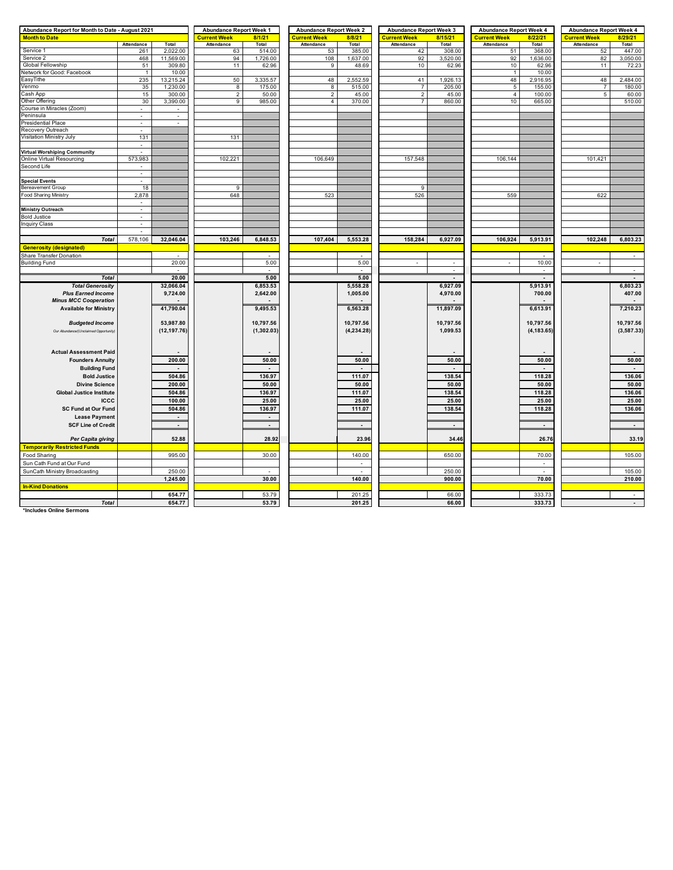| Abundance Report for Month to Date - August 2021 | <b>Abundance Report Week 1</b> |                               | <b>Abundance Report Week 2</b> |                     | <b>Abundance Report Week 3</b> |                     | <b>Abundance Report Week 4</b> |                          | <b>Abundance Report Week 4</b> |                                |                |                          |
|--------------------------------------------------|--------------------------------|-------------------------------|--------------------------------|---------------------|--------------------------------|---------------------|--------------------------------|--------------------------|--------------------------------|--------------------------------|----------------|--------------------------|
| <b>Month to Date</b>                             |                                | <b>Current Week</b><br>8/1/21 |                                | <b>Current Week</b> | 8/8/21                         | <b>Current Week</b> | 8/15/21                        | <b>Current Week</b>      | 8/22/21                        | <b>Current Week</b><br>8/29/21 |                |                          |
|                                                  | Attendance                     | Total                         | Attendance                     | Total               | Attendance                     | Total               | Attendance                     | Total                    | Attendance                     | Total                          | Attendance     | Total                    |
| Service 1                                        | 261                            | 2,022.00                      | 63                             | 514.00              | 53                             | 385.00              | 42                             | 308.00                   | 51                             | 368.00                         | 52             | 447.00                   |
| Service 2                                        | 468                            | 11,569.00                     | 94                             | 1,726.00            | 108                            | 1,637.00            | 92                             | 3,520.00                 | 92                             | 1,636.00                       | 82             | 3,050.00                 |
| Global Fellowship                                | 51                             | 309.80                        | 11                             | 62.96               | 9                              | 48.69               | 10                             | 62.96                    | 10                             | 62.96                          | 11             | 72.23                    |
| Network for Good: Facebook                       | $\mathbf{1}$                   | 10.00                         |                                |                     |                                |                     |                                |                          | $\mathbf{1}$                   | 10.00                          |                |                          |
| EasyTithe                                        | 235                            | 13,215.24                     | 50                             | 3,335.57            | 48                             | 2,552.59            | 41                             | 1,926.13                 | 48                             | 2,916.95                       | 48             | 2,484.00                 |
| Venmo                                            | 35                             | 1,230.00                      | $\overline{8}$                 | 175.00              | 8                              | 515.00              | $\overline{7}$                 | 205.00                   | $\overline{5}$                 | 155.00                         | $\overline{7}$ | 180.00                   |
| Cash App                                         | 15                             | 300.00                        | $\overline{2}$                 | 50.00               | $\overline{2}$                 | 45.00               | $\overline{2}$                 | 45.00                    | $\overline{4}$                 | 100.00                         | 5              | 60.00                    |
| Other Offering                                   | 30                             | 3,390.00                      | 9                              | 985.00              | $\overline{4}$                 | 370.00              | $\overline{7}$                 | 860.00                   | 10                             | 665.00                         |                | 510.00                   |
| Course in Miracles (Zoom)                        | $\sim$                         | $\sim$                        |                                |                     |                                |                     |                                |                          |                                |                                |                |                          |
| Peninsula                                        | $\sim$                         | $\omega$                      |                                |                     |                                |                     |                                |                          |                                |                                |                |                          |
|                                                  | $\overline{a}$                 | $\overline{a}$                |                                |                     |                                |                     |                                |                          |                                |                                |                |                          |
| <b>Presidential Place</b>                        |                                |                               |                                |                     |                                |                     |                                |                          |                                |                                |                |                          |
| Recovery Outreach                                |                                |                               |                                |                     |                                |                     |                                |                          |                                |                                |                |                          |
| Visitation Ministry July                         | 131                            |                               | 131                            |                     |                                |                     |                                |                          |                                |                                |                |                          |
|                                                  | $\mathbf{r}$                   |                               |                                |                     |                                |                     |                                |                          |                                |                                |                |                          |
| <b>Virtual Worshiping Community</b>              |                                |                               |                                |                     |                                |                     |                                |                          |                                |                                |                |                          |
| Online Virtual Resourcing                        | 573,983                        |                               | 102,221                        |                     | 106,649                        |                     | 157,548                        |                          | 106,144                        |                                | 101,421        |                          |
| Second Life                                      | $\overline{\phantom{a}}$       |                               |                                |                     |                                |                     |                                |                          |                                |                                |                |                          |
|                                                  | $\sim$                         |                               |                                |                     |                                |                     |                                |                          |                                |                                |                |                          |
| <b>Special Events</b>                            |                                |                               |                                |                     |                                |                     |                                |                          |                                |                                |                |                          |
| <b>Bereavement Group</b>                         | 18                             |                               | 9                              |                     |                                |                     | 9                              |                          |                                |                                |                |                          |
| Food Sharing Ministry                            | 2,878                          |                               | 648                            |                     | 523                            |                     | 526                            |                          | 559                            |                                | 622            |                          |
|                                                  | $\sim$                         |                               |                                |                     |                                |                     |                                |                          |                                |                                |                |                          |
| <b>Ministry Outreach</b>                         | $\sim$                         |                               |                                |                     |                                |                     |                                |                          |                                |                                |                |                          |
| <b>Bold Justice</b>                              | $\overline{a}$                 |                               |                                |                     |                                |                     |                                |                          |                                |                                |                |                          |
|                                                  |                                |                               |                                |                     |                                |                     |                                |                          |                                |                                |                |                          |
| <b>Inquiry Class</b>                             | $\sim$                         |                               |                                |                     |                                |                     |                                |                          |                                |                                |                |                          |
|                                                  | $\sim$                         |                               |                                |                     |                                |                     |                                |                          |                                |                                |                |                          |
| <b>Total</b>                                     | 578,106                        | 32,046.04                     | 103,246                        | 6,848.53            | 107,404                        | 5,553.28            | 158,284                        | 6,927.09                 | 106,924                        | 5,913.91                       | 102,248        | 6,803.23                 |
| <b>Generosity (designated)</b>                   |                                |                               |                                |                     |                                |                     |                                |                          |                                |                                |                |                          |
| Share Transfer Donation                          |                                |                               |                                |                     |                                |                     |                                |                          |                                |                                |                |                          |
| <b>Building Fund</b>                             |                                | 20.00                         |                                | 5.00                |                                | 5.00                | ÷.                             | Ξ                        | $\overline{\phantom{a}}$       | 10.00                          | $\sim$         |                          |
|                                                  |                                | $\sim$                        |                                | $\sim$              |                                | $\sim$              |                                | $\sim$                   |                                | $\sim$                         |                | $\sim$                   |
| <b>Total</b>                                     |                                | 20.00                         |                                | 5.00                |                                | 5.00                |                                |                          |                                |                                |                |                          |
|                                                  |                                |                               |                                |                     |                                |                     |                                |                          |                                |                                |                |                          |
| <b>Total Generosity</b>                          |                                | 32,066.04                     |                                | 6,853.53            |                                | 5,558.28            |                                | 6,927.09                 |                                | 5,913.91                       |                | 6,803.23                 |
| <b>Plus Earned Income</b>                        |                                | 9.724.00                      |                                | 2,642.00            |                                | 1.005.00            |                                | 4,970.00                 |                                | 700.00                         |                | 407.00                   |
| <b>Minus MCC Cooperation</b>                     |                                |                               |                                |                     |                                |                     |                                |                          |                                |                                |                |                          |
| <b>Available for Ministry</b>                    |                                | 41,790.04                     |                                | 9,495.53            |                                | 6,563.28            |                                | 11,897.09                |                                | 6,613.91                       |                | 7,210.23                 |
|                                                  |                                |                               |                                |                     |                                |                     |                                |                          |                                |                                |                |                          |
| <b>Budgeted Income</b>                           |                                | 53,987.80                     |                                | 10,797.56           |                                | 10,797.56           |                                | 10,797.56                |                                | 10,797.56                      |                | 10,797.56                |
| Our Abundance/(Unclaimed Opportunity)            |                                | (12, 197.76)                  |                                | (1,302.03)          |                                | (4,234.28)          |                                | 1,099.53                 |                                | (4, 183.65)                    |                | (3, 587.33)              |
|                                                  |                                |                               |                                |                     |                                |                     |                                |                          |                                |                                |                |                          |
|                                                  |                                |                               |                                |                     |                                |                     |                                |                          |                                |                                |                |                          |
| <b>Actual Assessment Paid</b>                    |                                |                               |                                |                     |                                |                     |                                |                          |                                |                                |                |                          |
|                                                  |                                |                               |                                |                     |                                |                     |                                |                          |                                |                                |                |                          |
| <b>Founders Annuity</b>                          |                                | 200.00                        |                                | 50.00               |                                | 50.00               |                                | 50.00                    |                                | 50.00                          |                | 50.00                    |
| <b>Building Fund</b>                             |                                |                               |                                |                     |                                |                     |                                |                          |                                |                                |                |                          |
| <b>Bold Justice</b>                              |                                | 504.86                        |                                | 136.97              |                                | 111.07              |                                | 138.54                   |                                | 118.28                         |                | 136.06                   |
| <b>Divine Science</b>                            |                                | 200.00                        |                                | 50.00               |                                | 50.00               |                                | 50.00                    |                                | 50.00                          |                | 50.00                    |
| <b>Global Justice Institute</b>                  |                                | 504.86                        |                                | 136.97              |                                | 111.07              |                                | 138.54                   |                                | 118.28                         |                | 136.06                   |
| <b>ICCC</b>                                      |                                | 100.00                        |                                | 25.00               |                                | 25.00               |                                | 25.00                    |                                | 25.00                          |                | 25.00                    |
|                                                  |                                |                               |                                |                     |                                |                     |                                |                          |                                |                                |                |                          |
| <b>SC Fund at Our Fund</b>                       |                                | 504.86                        |                                | 136.97              |                                | 111.07              |                                | 138.54                   |                                | 118.28                         |                | 136.06                   |
| <b>Lease Payment</b>                             |                                |                               |                                |                     |                                |                     |                                |                          |                                |                                |                |                          |
| <b>SCF Line of Credit</b>                        |                                | $\sim$                        |                                | $\sim$              |                                | $\sim$              |                                | $\overline{\phantom{a}}$ |                                | $\sim$                         |                | $\overline{\phantom{a}}$ |
|                                                  |                                |                               |                                |                     |                                |                     |                                |                          |                                |                                |                |                          |
| Per Capita giving                                |                                | 52.88                         |                                | 28.92               |                                | 23.96               |                                | 34.46                    |                                | 26.76                          |                | 33.19                    |
| <b>Temporarily Restricted Funds</b>              |                                |                               |                                |                     |                                |                     |                                |                          |                                |                                |                |                          |
|                                                  |                                |                               |                                |                     |                                |                     |                                |                          |                                |                                |                |                          |
| Food Sharing                                     |                                | 995.00                        |                                | 30.00               |                                | 140.00              |                                | 650.00                   |                                | 70.00                          |                | 105.00                   |
| Sun Cath Fund at Our Fund                        |                                |                               |                                |                     |                                |                     |                                |                          |                                | $\sim$                         |                |                          |
| SunCath Ministry Broadcasting                    |                                | 250.00                        |                                | $\overline{a}$      |                                | $\sim$              |                                | 250.00                   |                                | $\overline{a}$                 |                | 105.00                   |
|                                                  |                                | 1,245.00                      |                                | 30.00               |                                | 140.00              |                                | 900.00                   |                                | 70.00                          |                | 210.00                   |
| <b>In-Kind Donations</b>                         |                                |                               |                                |                     |                                |                     |                                |                          |                                |                                |                |                          |
|                                                  |                                | 654.77                        |                                | 53.79               |                                | 201.25              |                                | 66.00                    |                                | 333.73                         |                |                          |
| <b>Total</b>                                     |                                | 654.77                        |                                | 53.79               |                                | 201.25              |                                | 66.00                    |                                |                                |                |                          |
|                                                  |                                |                               |                                |                     |                                |                     |                                |                          |                                | 333.73                         |                | $\blacksquare$           |

**\*Includes Online Sermons**